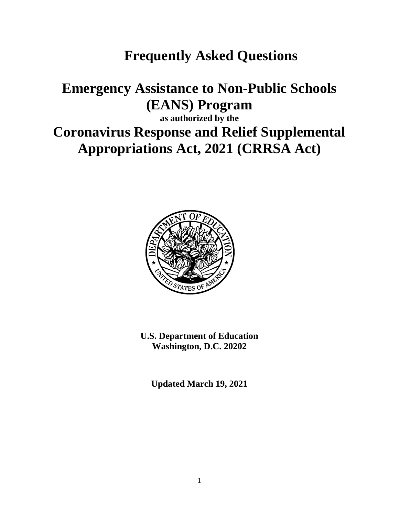## **Frequently Asked Questions**

## **Emergency Assistance to Non-Public Schools (EANS) Program**

**as authorized by the**

# **Coronavirus Response and Relief Supplemental Appropriations Act, 2021 (CRRSA Act)**



**U.S. Department of Education Washington, D.C. 20202**

**Updated March 19, 2021**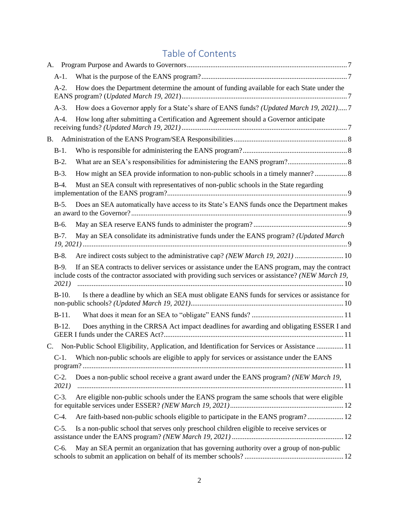## Table of Contents

| А.        |                  |                                                                                                                                                                                                         |
|-----------|------------------|---------------------------------------------------------------------------------------------------------------------------------------------------------------------------------------------------------|
|           | $A-1.$           |                                                                                                                                                                                                         |
|           | $A-2.$           | How does the Department determine the amount of funding available for each State under the                                                                                                              |
|           | $A-3$ .          | How does a Governor apply for a State's share of EANS funds? (Updated March 19, 2021)7                                                                                                                  |
|           | $A-4.$           | How long after submitting a Certification and Agreement should a Governor anticipate                                                                                                                    |
| <b>B.</b> |                  |                                                                                                                                                                                                         |
|           | $B-1$ .          |                                                                                                                                                                                                         |
|           | $B-2$ .          |                                                                                                                                                                                                         |
|           | $B-3$ .          | How might an SEA provide information to non-public schools in a timely manner?                                                                                                                          |
|           | $B-4.$           | Must an SEA consult with representatives of non-public schools in the State regarding                                                                                                                   |
|           | $B-5.$           | Does an SEA automatically have access to its State's EANS funds once the Department makes                                                                                                               |
|           | $B-6.$           |                                                                                                                                                                                                         |
|           | $B-7.$           | May an SEA consolidate its administrative funds under the EANS program? (Updated March                                                                                                                  |
|           | $B-8$ .          | Are indirect costs subject to the administrative cap? (NEW March 19, 2021) 10                                                                                                                           |
|           | $B-9.$<br>2021)  | If an SEA contracts to deliver services or assistance under the EANS program, may the contract<br>include costs of the contractor associated with providing such services or assistance? (NEW March 19, |
|           | $B-10.$          | Is there a deadline by which an SEA must obligate EANS funds for services or assistance for                                                                                                             |
|           | $B-11.$          |                                                                                                                                                                                                         |
|           | $B-12.$          | Does anything in the CRRSA Act impact deadlines for awarding and obligating ESSER I and                                                                                                                 |
| C.        |                  | Non-Public School Eligibility, Application, and Identification for Services or Assistance  11                                                                                                           |
|           | $C-1$ .          | Which non-public schools are eligible to apply for services or assistance under the EANS                                                                                                                |
|           | $C-2$ .<br>2021) | Does a non-public school receive a grant award under the EANS program? (NEW March 19,                                                                                                                   |
|           | $C-3$ .          | Are eligible non-public schools under the EANS program the same schools that were eligible                                                                                                              |
|           | $C-4.$           | Are faith-based non-public schools eligible to participate in the EANS program? 12                                                                                                                      |
|           | $C-5$ .          | Is a non-public school that serves only preschool children eligible to receive services or                                                                                                              |
|           | $C-6$ .          | May an SEA permit an organization that has governing authority over a group of non-public                                                                                                               |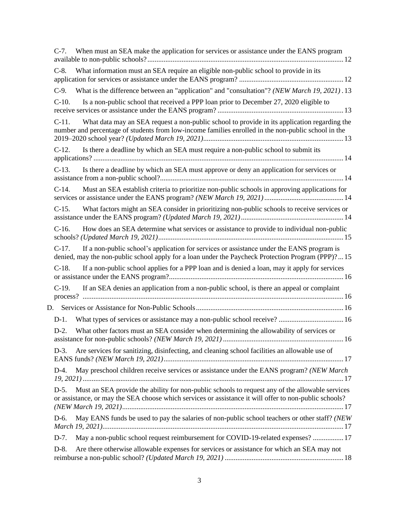| When must an SEA make the application for services or assistance under the EANS program<br>$C-7.$                                                                                                                   |  |
|---------------------------------------------------------------------------------------------------------------------------------------------------------------------------------------------------------------------|--|
| What information must an SEA require an eligible non-public school to provide in its<br>$C-8.$                                                                                                                      |  |
| What is the difference between an "application" and "consultation"? (NEW March 19, 2021). 13<br>$C-9.$                                                                                                              |  |
| Is a non-public school that received a PPP loan prior to December 27, 2020 eligible to<br>$C-10$ .                                                                                                                  |  |
| What data may an SEA request a non-public school to provide in its application regarding the<br>$C-11$ .<br>number and percentage of students from low-income families enrolled in the non-public school in the     |  |
| Is there a deadline by which an SEA must require a non-public school to submit its<br>$C-12.$                                                                                                                       |  |
| Is there a deadline by which an SEA must approve or deny an application for services or<br>$C-13$ .                                                                                                                 |  |
| Must an SEA establish criteria to prioritize non-public schools in approving applications for<br>$C-14$ .                                                                                                           |  |
| What factors might an SEA consider in prioritizing non-public schools to receive services or<br>$C-15$ .                                                                                                            |  |
| $C-16$ .<br>How does an SEA determine what services or assistance to provide to individual non-public                                                                                                               |  |
| If a non-public school's application for services or assistance under the EANS program is<br>$C-17.$<br>denied, may the non-public school apply for a loan under the Paycheck Protection Program (PPP)?15           |  |
| $C-18$ .<br>If a non-public school applies for a PPP loan and is denied a loan, may it apply for services                                                                                                           |  |
| If an SEA denies an application from a non-public school, is there an appeal or complaint<br>$C-19.$                                                                                                                |  |
|                                                                                                                                                                                                                     |  |
| What types of services or assistance may a non-public school receive?  16<br>$D-1$ .                                                                                                                                |  |
| What other factors must an SEA consider when determining the allowability of services or<br>$D-2$ .                                                                                                                 |  |
| Are services for sanitizing, disinfecting, and cleaning school facilities an allowable use of<br>$D-3$ .                                                                                                            |  |
| May preschool children receive services or assistance under the EANS program? (NEW March<br>$D-4.$                                                                                                                  |  |
| Must an SEA provide the ability for non-public schools to request any of the allowable services<br>$D-5.$<br>or assistance, or may the SEA choose which services or assistance it will offer to non-public schools? |  |
| May EANS funds be used to pay the salaries of non-public school teachers or other staff? (NEW<br>D-6.                                                                                                               |  |
| May a non-public school request reimbursement for COVID-19-related expenses?  17<br>$D-7.$                                                                                                                          |  |
| Are there otherwise allowable expenses for services or assistance for which an SEA may not<br>$D-8$ .                                                                                                               |  |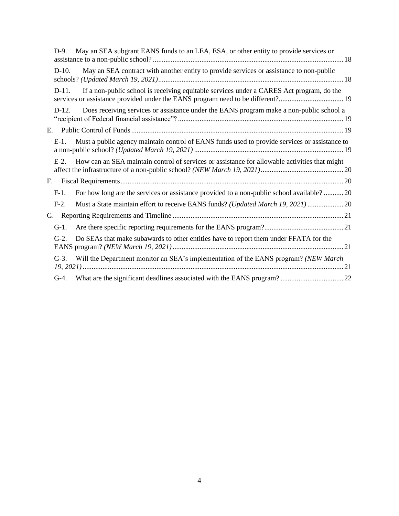|    | $D-9.$  | May an SEA subgrant EANS funds to an LEA, ESA, or other entity to provide services or                                                                                      |  |
|----|---------|----------------------------------------------------------------------------------------------------------------------------------------------------------------------------|--|
|    | $D-10.$ | May an SEA contract with another entity to provide services or assistance to non-public                                                                                    |  |
|    | $D-11.$ | If a non-public school is receiving equitable services under a CARES Act program, do the<br>services or assistance provided under the EANS program need to be different?19 |  |
|    | $D-12.$ | Does receiving services or assistance under the EANS program make a non-public school a                                                                                    |  |
| Е. |         |                                                                                                                                                                            |  |
|    | $E-1$ . | Must a public agency maintain control of EANS funds used to provide services or assistance to                                                                              |  |
|    | $E-2$ . | How can an SEA maintain control of services or assistance for allowable activities that might                                                                              |  |
|    | F.      |                                                                                                                                                                            |  |
|    | $F-1.$  | For how long are the services or assistance provided to a non-public school available?  20                                                                                 |  |
|    | $F-2$ . | Must a State maintain effort to receive EANS funds? (Updated March 19, 2021)  20                                                                                           |  |
| G. |         |                                                                                                                                                                            |  |
|    | $G-1$ . |                                                                                                                                                                            |  |
|    | $G-2$ . | Do SEAs that make subawards to other entities have to report them under FFATA for the                                                                                      |  |
|    | $G-3$ . | Will the Department monitor an SEA's implementation of the EANS program? (NEW March                                                                                        |  |
|    | $G-4$ . |                                                                                                                                                                            |  |
|    |         |                                                                                                                                                                            |  |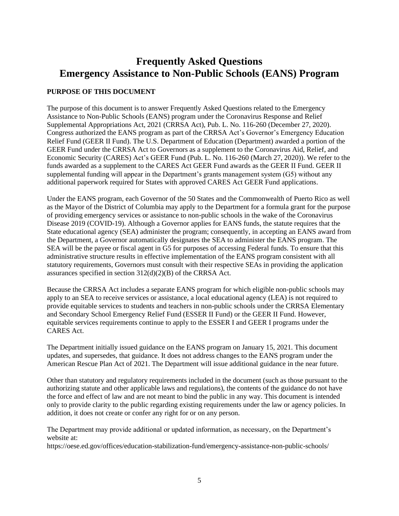## **Frequently Asked Questions Emergency Assistance to Non-Public Schools (EANS) Program**

## **PURPOSE OF THIS DOCUMENT**

The purpose of this document is to answer Frequently Asked Questions related to the Emergency Assistance to Non-Public Schools (EANS) program under the Coronavirus Response and Relief Supplemental Appropriations Act, 2021 (CRRSA Act), Pub. L. No. 116-260 (December 27, 2020). Congress authorized the EANS program as part of the CRRSA Act's Governor's Emergency Education Relief Fund (GEER II Fund). The U.S. Department of Education (Department) awarded a portion of the GEER Fund under the CRRSA Act to Governors as a supplement to the Coronavirus Aid, Relief, and Economic Security (CARES) Act's GEER Fund (Pub. L. No. 116-260 (March 27, 2020)). We refer to the funds awarded as a supplement to the CARES Act GEER Fund awards as the GEER II Fund. GEER II supplemental funding will appear in the Department's grants management system (G5) without any additional paperwork required for States with approved CARES Act GEER Fund applications.

Under the EANS program, each Governor of the 50 States and the Commonwealth of Puerto Rico as well as the Mayor of the District of Columbia may apply to the Department for a formula grant for the purpose of providing emergency services or assistance to non-public schools in the wake of the Coronavirus Disease 2019 (COVID-19). Although a Governor applies for EANS funds, the statute requires that the State educational agency (SEA) administer the program; consequently, in accepting an EANS award from the Department, a Governor automatically designates the SEA to administer the EANS program. The SEA will be the payee or fiscal agent in G5 for purposes of accessing Federal funds. To ensure that this administrative structure results in effective implementation of the EANS program consistent with all statutory requirements, Governors must consult with their respective SEAs in providing the application assurances specified in section 312(d)(2)(B) of the CRRSA Act.

Because the CRRSA Act includes a separate EANS program for which eligible non-public schools may apply to an SEA to receive services or assistance, a local educational agency (LEA) is not required to provide equitable services to students and teachers in non-public schools under the CRRSA Elementary and Secondary School Emergency Relief Fund (ESSER II Fund) or the GEER II Fund. However, equitable services requirements continue to apply to the ESSER I and GEER I programs under the CARES Act.

The Department initially issued guidance on the EANS program on January 15, 2021. This document updates, and supersedes, that guidance. It does not address changes to the EANS program under the American Rescue Plan Act of 2021. The Department will issue additional guidance in the near future.

Other than statutory and regulatory requirements included in the document (such as those pursuant to the authorizing statute and other applicable laws and regulations), the contents of the guidance do not have the force and effect of law and are not meant to bind the public in any way. This document is intended only to provide clarity to the public regarding existing requirements under the law or agency policies. In addition, it does not create or confer any right for or on any person.

The Department may provide additional or updated information, as necessary, on the Department's website at:

https://oese.ed.gov/offices/education-stabilization-fund/emergency-assistance-non-public-schools/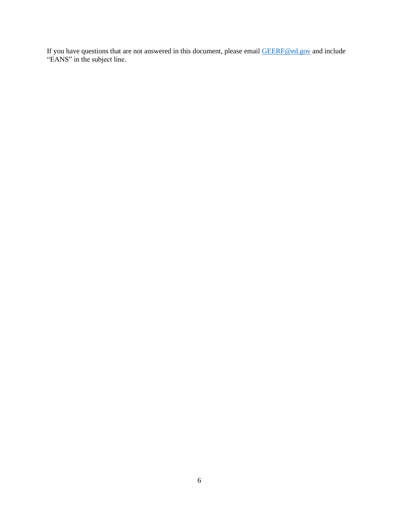If you have questions that are not answered in this document, please email [GEERF@ed.gov](mailto:GEERF@ed.gov) and include "EANS" in the subject line.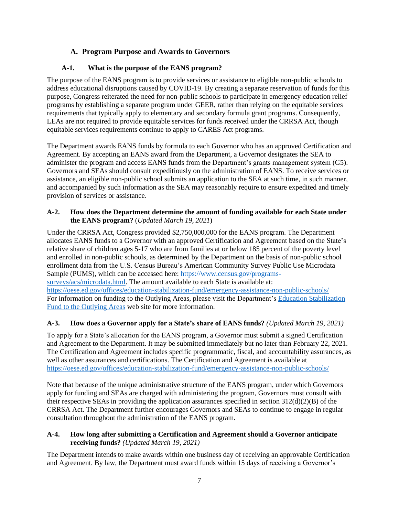## **A. Program Purpose and Awards to Governors**

## <span id="page-6-0"></span>**A-1. What is the purpose of the EANS program?**

<span id="page-6-1"></span>The purpose of the EANS program is to provide services or assistance to eligible non-public schools to address educational disruptions caused by COVID-19. By creating a separate reservation of funds for this purpose, Congress reiterated the need for non-public schools to participate in emergency education relief programs by establishing a separate program under GEER, rather than relying on the equitable services requirements that typically apply to elementary and secondary formula grant programs. Consequently, LEAs are not required to provide equitable services for funds received under the CRRSA Act, though equitable services requirements continue to apply to CARES Act programs.

The Department awards EANS funds by formula to each Governor who has an approved Certification and Agreement. By accepting an EANS award from the Department, a Governor designates the SEA to administer the program and access EANS funds from the Department's grants management system (G5). Governors and SEAs should consult expeditiously on the administration of EANS. To receive services or assistance, an eligible non-public school submits an application to the SEA at such time, in such manner, and accompanied by such information as the SEA may reasonably require to ensure expedited and timely provision of services or assistance.

#### <span id="page-6-2"></span>**A-2. How does the Department determine the amount of funding available for each State under the EANS program?** (*Updated March 19, 2021*)

Under the CRRSA Act, Congress provided \$2,750,000,000 for the EANS program. The Department allocates EANS funds to a Governor with an approved Certification and Agreement based on the State's relative share of children ages 5-17 who are from families at or below 185 percent of the poverty level and enrolled in non-public schools, as determined by the Department on the basis of non-public school enrollment data from the U.S. Census Bureau's American Community Survey Public Use Microdata Sample (PUMS), which can be accessed here: [https://www.census.gov/programs](https://www.census.gov/programs-surveys/acs/microdata.html)[surveys/acs/microdata.html.](https://www.census.gov/programs-surveys/acs/microdata.html) The amount available to each State is available at: <https://oese.ed.gov/offices/education-stabilization-fund/emergency-assistance-non-public-schools/> For information on funding to the Outlying Areas, please visit the Department'[s Education Stabilization](https://oese.ed.gov/offices/education-stabilization-fund/outlying-areas/)  [Fund to the Outlying Areas](https://oese.ed.gov/offices/education-stabilization-fund/outlying-areas/) web site for more information.

## <span id="page-6-3"></span>**A-3. How does a Governor apply for a State's share of EANS funds?** *(Updated March 19, 2021)*

To apply for a State's allocation for the EANS program, a Governor must submit a signed Certification and Agreement to the Department. It may be submitted immediately but no later than February 22, 2021. The Certification and Agreement includes specific programmatic, fiscal, and accountability assurances, as well as other assurances and certifications. The Certification and Agreement is available at <https://oese.ed.gov/offices/education-stabilization-fund/emergency-assistance-non-public-schools/>

Note that because of the unique administrative structure of the EANS program, under which Governors apply for funding and SEAs are charged with administering the program, Governors must consult with their respective SEAs in providing the application assurances specified in section 312(d)(2)(B) of the CRRSA Act. The Department further encourages Governors and SEAs to continue to engage in regular consultation throughout the administration of the EANS program.

#### <span id="page-6-4"></span>**A-4. How long after submitting a Certification and Agreement should a Governor anticipate receiving funds?** *(Updated March 19, 2021)*

The Department intends to make awards within one business day of receiving an approvable Certification and Agreement. By law, the Department must award funds within 15 days of receiving a Governor's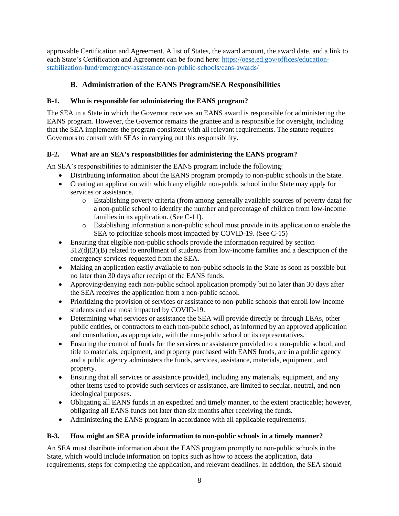approvable Certification and Agreement. A list of States, the award amount, the award date, and a link to each State's Certification and Agreement can be found here: [https://oese.ed.gov/offices/education](https://oese.ed.gov/offices/education-stabilization-fund/emergency-assistance-non-public-schools/eans-awards/)[stabilization-fund/emergency-assistance-non-public-schools/eans-awards/](https://oese.ed.gov/offices/education-stabilization-fund/emergency-assistance-non-public-schools/eans-awards/)

## **B. Administration of the EANS Program/SEA Responsibilities**

## <span id="page-7-1"></span><span id="page-7-0"></span>**B-1. Who is responsible for administering the EANS program?**

The SEA in a State in which the Governor receives an EANS award is responsible for administering the EANS program. However, the Governor remains the grantee and is responsible for oversight, including that the SEA implements the program consistent with all relevant requirements. The statute requires Governors to consult with SEAs in carrying out this responsibility.

## <span id="page-7-2"></span>**B-2. What are an SEA's responsibilities for administering the EANS program?**

An SEA's responsibilities to administer the EANS program include the following:

- Distributing information about the EANS program promptly to non-public schools in the State.
- Creating an application with which any eligible non-public school in the State may apply for services or assistance.
	- o Establishing poverty criteria (from among generally available sources of poverty data) for a non-public school to identify the number and percentage of children from low-income families in its application. (See C-11).
	- o Establishing information a non-public school must provide in its application to enable the SEA to prioritize schools most impacted by COVID-19. (See C-15)
- Ensuring that eligible non-public schools provide the information required by section 312(d)(3)(B) related to enrollment of students from low-income families and a description of the emergency services requested from the SEA.
- Making an application easily available to non-public schools in the State as soon as possible but no later than 30 days after receipt of the EANS funds.
- Approving/denying each non-public school application promptly but no later than 30 days after the SEA receives the application from a non-public school.
- Prioritizing the provision of services or assistance to non-public schools that enroll low-income students and are most impacted by COVID-19.
- Determining what services or assistance the SEA will provide directly or through LEAs, other public entities, or contractors to each non-public school, as informed by an approved application and consultation, as appropriate, with the non-public school or its representatives.
- Ensuring the control of funds for the services or assistance provided to a non-public school, and title to materials, equipment, and property purchased with EANS funds, are in a public agency and a public agency administers the funds, services, assistance, materials, equipment, and property.
- Ensuring that all services or assistance provided, including any materials, equipment, and any other items used to provide such services or assistance, are limited to secular, neutral, and nonideological purposes.
- Obligating all EANS funds in an expedited and timely manner, to the extent practicable; however, obligating all EANS funds not later than six months after receiving the funds.
- Administering the EANS program in accordance with all applicable requirements.

#### <span id="page-7-3"></span>**B-3. How might an SEA provide information to non-public schools in a timely manner?**

An SEA must distribute information about the EANS program promptly to non-public schools in the State, which would include information on topics such as how to access the application, data requirements, steps for completing the application, and relevant deadlines. In addition, the SEA should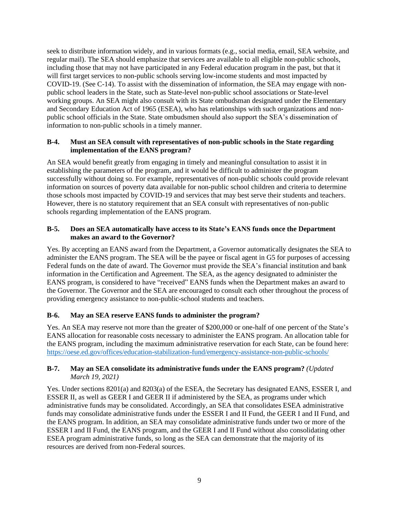seek to distribute information widely, and in various formats (e.g., social media, email, SEA website, and regular mail). The SEA should emphasize that services are available to all eligible non-public schools, including those that may not have participated in any Federal education program in the past, but that it will first target services to non-public schools serving low-income students and most impacted by COVID-19. (See C-14). To assist with the dissemination of information, the SEA may engage with nonpublic school leaders in the State, such as State-level non-public school associations or State-level working groups. An SEA might also consult with its State ombudsman designated under the Elementary and Secondary Education Act of 1965 (ESEA), who has relationships with such organizations and nonpublic school officials in the State. State ombudsmen should also support the SEA's dissemination of information to non-public schools in a timely manner.

#### <span id="page-8-0"></span>**B-4. Must an SEA consult with representatives of non-public schools in the State regarding implementation of the EANS program?**

An SEA would benefit greatly from engaging in timely and meaningful consultation to assist it in establishing the parameters of the program, and it would be difficult to administer the program successfully without doing so. For example, representatives of non-public schools could provide relevant information on sources of poverty data available for non-public school children and criteria to determine those schools most impacted by COVID-19 and services that may best serve their students and teachers. However, there is no statutory requirement that an SEA consult with representatives of non-public schools regarding implementation of the EANS program.

#### <span id="page-8-1"></span>**B-5. Does an SEA automatically have access to its State's EANS funds once the Department makes an award to the Governor?**

Yes. By accepting an EANS award from the Department, a Governor automatically designates the SEA to administer the EANS program. The SEA will be the payee or fiscal agent in G5 for purposes of accessing Federal funds on the date of award. The Governor must provide the SEA's financial institution and bank information in the Certification and Agreement. The SEA, as the agency designated to administer the EANS program, is considered to have "received" EANS funds when the Department makes an award to the Governor. The Governor and the SEA are encouraged to consult each other throughout the process of providing emergency assistance to non-public-school students and teachers.

#### <span id="page-8-2"></span>**B-6. May an SEA reserve EANS funds to administer the program?**

Yes. An SEA may reserve not more than the greater of \$200,000 or one-half of one percent of the State's EANS allocation for reasonable costs necessary to administer the EANS program. An allocation table for the EANS program, including the maximum administrative reservation for each State, can be found here: <https://oese.ed.gov/offices/education-stabilization-fund/emergency-assistance-non-public-schools/>

#### <span id="page-8-3"></span>**B-7. May an SEA consolidate its administrative funds under the EANS program?** *(Updated March 19, 2021)*

Yes. Under sections 8201(a) and 8203(a) of the ESEA, the Secretary has designated EANS, ESSER I, and ESSER II, as well as GEER I and GEER II if administered by the SEA, as programs under which administrative funds may be consolidated. Accordingly, an SEA that consolidates ESEA administrative funds may consolidate administrative funds under the ESSER I and II Fund, the GEER I and II Fund, and the EANS program. In addition, an SEA may consolidate administrative funds under two or more of the ESSER I and II Fund, the EANS program, and the GEER I and II Fund without also consolidating other ESEA program administrative funds, so long as the SEA can demonstrate that the majority of its resources are derived from non-Federal sources.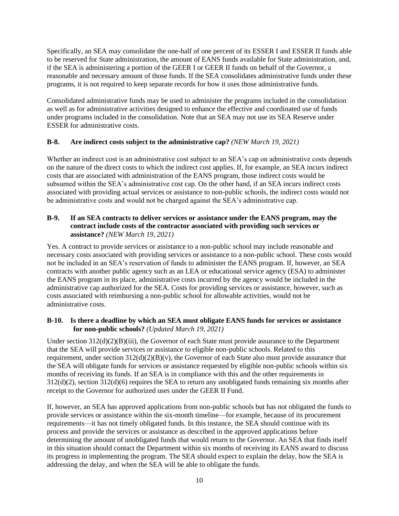Specifically, an SEA may consolidate the one-half of one percent of its ESSER I and ESSER II funds able to be reserved for State administration, the amount of EANS funds available for State administration, and, if the SEA is administering a portion of the GEER I or GEER II funds on behalf of the Governor, a reasonable and necessary amount of those funds. If the SEA consolidates administrative funds under these programs, it is not required to keep separate records for how it uses those administrative funds.

Consolidated administrative funds may be used to administer the programs included in the consolidation as well as for administrative activities designed to enhance the effective and coordinated use of funds under programs included in the consolidation. Note that an SEA may not use its SEA Reserve under ESSER for administrative costs.

#### <span id="page-9-0"></span>**B-8. Are indirect costs subject to the administrative cap?** *(NEW March 19, 2021)*

Whether an indirect cost is an administrative cost subject to an SEA's cap on administrative costs depends on the nature of the direct costs to which the indirect cost applies. If, for example, an SEA incurs indirect costs that are associated with administration of the EANS program, those indirect costs would be subsumed within the SEA's administrative cost cap. On the other hand, if an SEA incurs indirect costs associated with providing actual services or assistance to non-public schools, the indirect costs would not be administrative costs and would not be charged against the SEA's administrative cap.

#### <span id="page-9-1"></span>**B-9. If an SEA contracts to deliver services or assistance under the EANS program, may the contract include costs of the contractor associated with providing such services or assistance?** *(NEW March 19, 2021)*

Yes. A contract to provide services or assistance to a non-public school may include reasonable and necessary costs associated with providing services or assistance to a non-public school. These costs would not be included in an SEA's reservation of funds to administer the EANS program. If, however, an SEA contracts with another public agency such as an LEA or educational service agency (ESA) to administer the EANS program in its place, administrative costs incurred by the agency would be included in the administrative cap authorized for the SEA. Costs for providing services or assistance, however, such as costs associated with reimbursing a non-public school for allowable activities, would not be administrative costs.

#### <span id="page-9-2"></span>**B-10. Is there a deadline by which an SEA must obligate EANS funds for services or assistance for non-public schools?** *(Updated March 19, 2021)*

Under section  $312(d)(2)(B)(iii)$ , the Governor of each State must provide assurance to the Department that the SEA will provide services or assistance to eligible non-public schools. Related to this requirement, under section 312(d)(2)(B)(v), the Governor of each State also must provide assurance that the SEA will obligate funds for services or assistance requested by eligible non-public schools within six months of receiving its funds. If an SEA is in compliance with this and the other requirements in 312(d)(2), section 312(d)(6) requires the SEA to return any unobligated funds remaining six months after receipt to the Governor for authorized uses under the GEER II Fund.

If, however, an SEA has approved applications from non-public schools but has not obligated the funds to provide services or assistance within the six-month timeline—for example, because of its procurement requirements—it has not timely obligated funds. In this instance, the SEA should continue with its process and provide the services or assistance as described in the approved applications before determining the amount of unobligated funds that would return to the Governor. An SEA that finds itself in this situation should contact the Department within six months of receiving its EANS award to discuss its progress in implementing the program. The SEA should expect to explain the delay, how the SEA is addressing the delay, and when the SEA will be able to obligate the funds.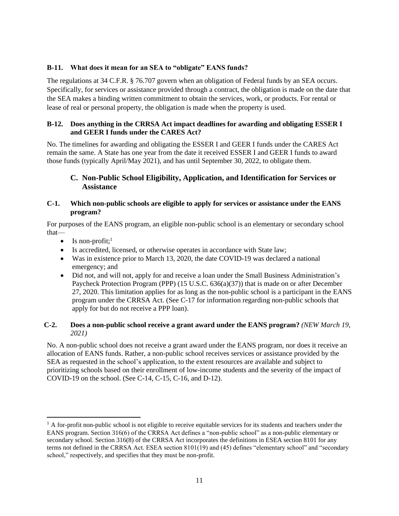#### <span id="page-10-0"></span>**B-11. What does it mean for an SEA to "obligate" EANS funds?**

The regulations at [34 C.F.R. §](https://www.ecfr.gov/cgi-bin/text-idx?SID=ac4b728449456fd10c7cedebb87e6e8e&mc=true&node=se34.1.76_1707&rgn=div8.) 76.707 govern when an obligation of Federal funds by an SEA occurs. Specifically, for services or assistance provided through a contract, the obligation is made on the date that the SEA makes a binding written commitment to obtain the services, work, or products. For rental or lease of real or personal property, the obligation is made when the property is used.

#### <span id="page-10-1"></span>**B-12. Does anything in the CRRSA Act impact deadlines for awarding and obligating ESSER I and GEER I funds under the CARES Act?**

No. The timelines for awarding and obligating the ESSER I and GEER I funds under the CARES Act remain the same. A State has one year from the date it received ESSER I and GEER I funds to award those funds (typically April/May 2021), and has until September 30, 2022, to obligate them.

## <span id="page-10-2"></span>**C. Non-Public School Eligibility, Application, and Identification for Services or Assistance**

#### <span id="page-10-3"></span>**C-1. Which non-public schools are eligible to apply for services or assistance under the EANS program?**

For purposes of the EANS program, an eligible non-public school is an elementary or secondary school that—

- $\bullet$  Is non-profit;<sup>1</sup>
- Is accredited, licensed, or otherwise operates in accordance with State law;
- Was in existence prior to March 13, 2020, the date COVID-19 was declared a national emergency; and
- Did not, and will not, apply for and receive a loan under the Small Business Administration's Paycheck Protection Program (PPP) (15 U.S.C. 636(a)(37)) that is made on or after December 27, 2020. This limitation applies for as long as the non-public school is a participant in the EANS program under the CRRSA Act. (See [C-17](#page-14-1) for information regarding non-public schools that apply for but do not receive a PPP loan).

#### <span id="page-10-4"></span>**C-2. Does a non-public school receive a grant award under the EANS program?** *(NEW March 19, 2021)*

No. A non-public school does not receive a grant award under the EANS program, nor does it receive an allocation of EANS funds. Rather, a non-public school receives services or assistance provided by the SEA as requested in the school's application, to the extent resources are available and subject to prioritizing schools based on their enrollment of low-income students and the severity of the impact of COVID-19 on the school. (See C-14, C-15, C-16, and D-12).

 $<sup>1</sup>$  A for-profit non-public school is not eligible to receive equitable services for its students and teachers under the</sup> EANS program. Section 316(6) of the CRRSA Act defines a "non-public school" as a non-public elementary or secondary school. Section 316(8) of the CRRSA Act incorporates the definitions in ESEA section 8101 for any terms not defined in the CRRSA Act. ESEA section 8101(19) and (45) defines "elementary school" and "secondary school," respectively, and specifies that they must be non-profit.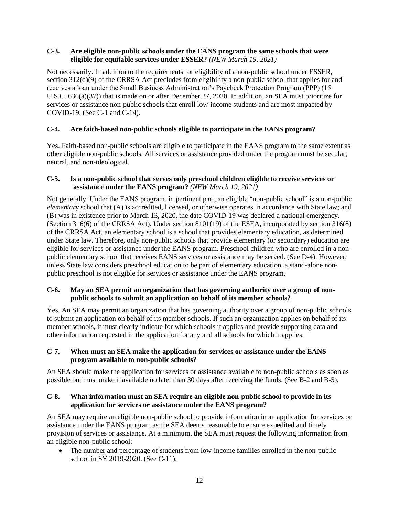#### <span id="page-11-0"></span>**C-3. Are eligible non-public schools under the EANS program the same schools that were eligible for equitable services under ESSER?** *(NEW March 19, 2021)*

Not necessarily. In addition to the requirements for eligibility of a non-public school under ESSER, section 312(d)(9) of the CRRSA Act precludes from eligibility a non-public school that applies for and receives a loan under the Small Business Administration's Paycheck Protection Program (PPP) (15 U.S.C. 636(a)(37)) that is made on or after December 27, 2020. In addition, an SEA must prioritize for services or assistance non-public schools that enroll low-income students and are most impacted by COVID-19. (See C-1 and C-14).

#### <span id="page-11-1"></span>**C-4. Are faith-based non-public schools eligible to participate in the EANS program?**

Yes. Faith-based non-public schools are eligible to participate in the EANS program to the same extent as other eligible non-public schools. All services or assistance provided under the program must be secular, neutral, and non-ideological.

#### <span id="page-11-2"></span>**C-5. Is a non-public school that serves only preschool children eligible to receive services or assistance under the EANS program?** *(NEW March 19, 2021)*

Not generally. Under the EANS program, in pertinent part, an eligible "non-public school" is a non-public *elementary* school that (A) is accredited, licensed, or otherwise operates in accordance with State law; and (B) was in existence prior to March 13, 2020, the date COVID-19 was declared a national emergency. (Section 316(6) of the CRRSA Act). Under section 8101(19) of the ESEA, incorporated by section 316(8) of the CRRSA Act, an elementary school is a school that provides elementary education, as determined under State law. Therefore, only non-public schools that provide elementary (or secondary) education are eligible for services or assistance under the EANS program. Preschool children who are enrolled in a nonpublic elementary school that receives EANS services or assistance may be served. (See D-4). However, unless State law considers preschool education to be part of elementary education, a stand-alone nonpublic preschool is not eligible for services or assistance under the EANS program.

#### <span id="page-11-3"></span>**C-6. May an SEA permit an organization that has governing authority over a group of nonpublic schools to submit an application on behalf of its member schools?**

Yes. An SEA may permit an organization that has governing authority over a group of non-public schools to submit an application on behalf of its member schools. If such an organization applies on behalf of its member schools, it must clearly indicate for which schools it applies and provide supporting data and other information requested in the application for any and all schools for which it applies.

#### <span id="page-11-4"></span>**C-7. When must an SEA make the application for services or assistance under the EANS program available to non-public schools?**

An SEA should make the application for services or assistance available to non-public schools as soon as possible but must make it available no later than 30 days after receiving the funds. (See B-2 and B-5).

#### <span id="page-11-5"></span>**C-8. What information must an SEA require an eligible non-public school to provide in its application for services or assistance under the EANS program?**

An SEA may require an eligible non-public school to provide information in an application for services or assistance under the EANS program as the SEA deems reasonable to ensure expedited and timely provision of services or assistance. At a minimum, the SEA must request the following information from an eligible non-public school:

• The number and percentage of students from low-income families enrolled in the non-public school in SY 2019-2020. (See C-11).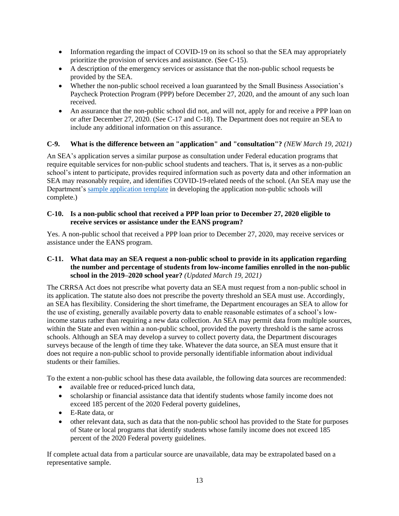- Information regarding the impact of COVID-19 on its school so that the SEA may appropriately prioritize the provision of services and assistance. (See C-15).
- A description of the emergency services or assistance that the non-public school requests be provided by the SEA.
- Whether the non-public school received a loan guaranteed by the Small Business Association's Paycheck Protection Program (PPP) before December 27, 2020, and the amount of any such loan received.
- An assurance that the non-public school did not, and will not, apply for and receive a PPP loan on or after December 27, 2020. (See C-17 and C-18). The Department does not require an SEA to include any additional information on this assurance.

#### <span id="page-12-0"></span>**C-9. What is the difference between an "application" and "consultation"?** *(NEW March 19, 2021)*

An SEA's application serves a similar purpose as consultation under Federal education programs that require equitable services for non-public school students and teachers. That is, it serves as a non-public school's intent to participate, provides required information such as poverty data and other information an SEA may reasonably require, and identifies COVID-19-related needs of the school. (An SEA may use the Department's [sample application template](https://oese.ed.gov/files/2021/01/FINAL_Sample-application-template-from-SEA-to-non-public-schools_2021_01.14.21.docx) in developing the application non-public schools will complete.)

#### <span id="page-12-1"></span>**C-10. Is a non-public school that received a PPP loan prior to December 27, 2020 eligible to receive services or assistance under the EANS program?**

Yes. A non-public school that received a PPP loan prior to December 27, 2020, may receive services or assistance under the EANS program.

#### <span id="page-12-2"></span>**C-11. What data may an SEA request a non-public school to provide in its application regarding the number and percentage of students from low-income families enrolled in the non-public school in the 2019–2020 school year?** *(Updated March 19, 2021)*

The CRRSA Act does not prescribe what poverty data an SEA must request from a non-public school in its application. The statute also does not prescribe the poverty threshold an SEA must use. Accordingly, an SEA has flexibility. Considering the short timeframe, the Department encourages an SEA to allow for the use of existing, generally available poverty data to enable reasonable estimates of a school's lowincome status rather than requiring a new data collection. An SEA may permit data from multiple sources, within the State and even within a non-public school, provided the poverty threshold is the same across schools. Although an SEA may develop a survey to collect poverty data, the Department discourages surveys because of the length of time they take. Whatever the data source, an SEA must ensure that it does not require a non-public school to provide personally identifiable information about individual students or their families.

To the extent a non-public school has these data available, the following data sources are recommended:

- available free or reduced-priced lunch data,
- scholarship or financial assistance data that identify students whose family income does not exceed 185 percent of the 2020 Federal poverty guidelines,
- E-Rate data, or
- other relevant data, such as data that the non-public school has provided to the State for purposes of State or local programs that identify students whose family income does not exceed 185 percent of the 2020 Federal poverty guidelines.

If complete actual data from a particular source are unavailable, data may be extrapolated based on a representative sample.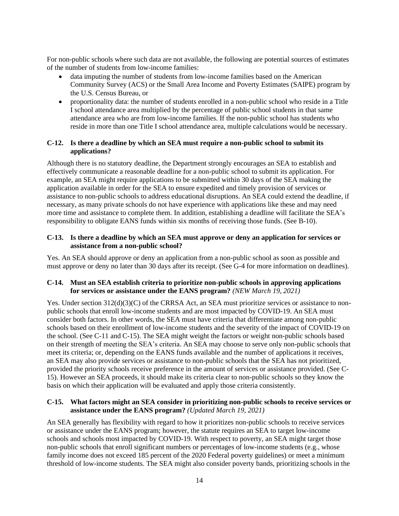For non-public schools where such data are not available, the following are potential sources of estimates of the number of students from low-income families:

- data imputing the number of students from low-income families based on the American Community Survey (ACS) or the Small Area Income and Poverty Estimates (SAIPE) program by the U.S. Census Bureau, or
- proportionality data: the number of students enrolled in a non-public school who reside in a Title I school attendance area multiplied by the percentage of public school students in that same attendance area who are from low-income families. If the non-public school has students who reside in more than one Title I school attendance area, multiple calculations would be necessary.

#### <span id="page-13-0"></span>**C-12. Is there a deadline by which an SEA must require a non-public school to submit its applications?**

Although there is no statutory deadline, the Department strongly encourages an SEA to establish and effectively communicate a reasonable deadline for a non-public school to submit its application. For example, an SEA might require applications to be submitted within 30 days of the SEA making the application available in order for the SEA to ensure expedited and timely provision of services or assistance to non-public schools to address educational disruptions. An SEA could extend the deadline, if necessary, as many private schools do not have experience with applications like these and may need more time and assistance to complete them. In addition, establishing a deadline will facilitate the SEA's responsibility to obligate EANS funds within six months of receiving those funds. (See B-10).

#### <span id="page-13-1"></span>**C-13. Is there a deadline by which an SEA must approve or deny an application for services or assistance from a non-public school?**

Yes. An SEA should approve or deny an application from a non-public school as soon as possible and must approve or deny no later than 30 days after its receipt. (See G-4 for more information on deadlines).

#### <span id="page-13-2"></span>**C-14. Must an SEA establish criteria to prioritize non-public schools in approving applications for services or assistance under the EANS program?** *(NEW March 19, 2021)*

Yes. Under section  $312(d)(3)(C)$  of the CRRSA Act, an SEA must prioritize services or assistance to nonpublic schools that enroll low-income students and are most impacted by COVID-19. An SEA must consider both factors. In other words, the SEA must have criteria that differentiate among non-public schools based on their enrollment of low-income students and the severity of the impact of COVID-19 on the school. (See C-11 and C-15). The SEA might weight the factors or weight non-public schools based on their strength of meeting the SEA's criteria. An SEA may choose to serve only non-public schools that meet its criteria; or, depending on the EANS funds available and the number of applications it receives, an SEA may also provide services or assistance to non-public schools that the SEA has not prioritized, provided the priority schools receive preference in the amount of services or assistance provided. (See C-15). However an SEA proceeds, it should make its criteria clear to non-public schools so they know the basis on which their application will be evaluated and apply those criteria consistently.

#### <span id="page-13-3"></span>**C-15. What factors might an SEA consider in prioritizing non-public schools to receive services or assistance under the EANS program?** *(Updated March 19, 2021)*

An SEA generally has flexibility with regard to how it prioritizes non-public schools to receive services or assistance under the EANS program; however, the statute requires an SEA to target low-income schools and schools most impacted by COVID-19. With respect to poverty, an SEA might target those non-public schools that enroll significant numbers or percentages of low-income students (e.g., whose family income does not exceed 185 percent of the 2020 Federal poverty guidelines) or meet a minimum threshold of low-income students. The SEA might also consider poverty bands, prioritizing schools in the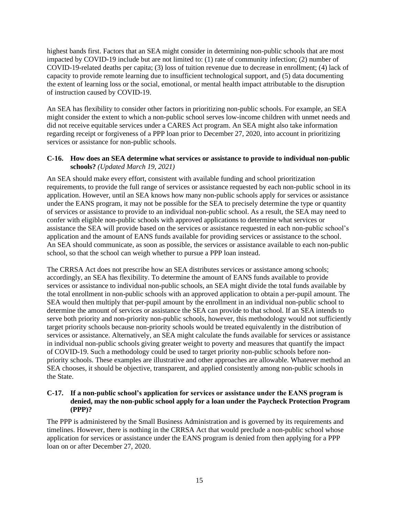highest bands first. Factors that an SEA might consider in determining non-public schools that are most impacted by COVID-19 include but are not limited to: (1) rate of community infection; (2) number of COVID-19-related deaths per capita; (3) loss of tuition revenue due to decrease in enrollment; (4) lack of capacity to provide remote learning due to insufficient technological support, and (5) data documenting the extent of learning loss or the social, emotional, or mental health impact attributable to the disruption of instruction caused by COVID-19.

An SEA has flexibility to consider other factors in prioritizing non-public schools. For example, an SEA might consider the extent to which a non-public school serves low-income children with unmet needs and did not receive equitable services under a CARES Act program. An SEA might also take information regarding receipt or forgiveness of a PPP loan prior to December 27, 2020, into account in prioritizing services or assistance for non-public schools.

#### <span id="page-14-0"></span>**C-16. How does an SEA determine what services or assistance to provide to individual non-public schools?** *(Updated March 19, 2021)*

An SEA should make every effort, consistent with available funding and school prioritization requirements, to provide the full range of services or assistance requested by each non-public school in its application. However, until an SEA knows how many non-public schools apply for services or assistance under the EANS program, it may not be possible for the SEA to precisely determine the type or quantity of services or assistance to provide to an individual non-public school. As a result, the SEA may need to confer with eligible non-public schools with approved applications to determine what services or assistance the SEA will provide based on the services or assistance requested in each non-public school's application and the amount of EANS funds available for providing services or assistance to the school. An SEA should communicate, as soon as possible, the services or assistance available to each non-public school, so that the school can weigh whether to pursue a PPP loan instead.

The CRRSA Act does not prescribe how an SEA distributes services or assistance among schools; accordingly, an SEA has flexibility. To determine the amount of EANS funds available to provide services or assistance to individual non-public schools, an SEA might divide the total funds available by the total enrollment in non-public schools with an approved application to obtain a per-pupil amount. The SEA would then multiply that per-pupil amount by the enrollment in an individual non-public school to determine the amount of services or assistance the SEA can provide to that school. If an SEA intends to serve both priority and non-priority non-public schools, however, this methodology would not sufficiently target priority schools because non-priority schools would be treated equivalently in the distribution of services or assistance. Alternatively, an SEA might calculate the funds available for services or assistance in individual non-public schools giving greater weight to poverty and measures that quantify the impact of COVID-19. Such a methodology could be used to target priority non-public schools before nonpriority schools. These examples are illustrative and other approaches are allowable. Whatever method an SEA chooses, it should be objective, transparent, and applied consistently among non-public schools in the State.

#### <span id="page-14-1"></span>**C-17. If a non-public school's application for services or assistance under the EANS program is denied, may the non-public school apply for a loan under the Paycheck Protection Program (PPP)?**

The PPP is administered by the Small Business Administration and is governed by its requirements and timelines. However, there is nothing in the CRRSA Act that would preclude a non-public school whose application for services or assistance under the EANS program is denied from then applying for a PPP loan on or after December 27, 2020.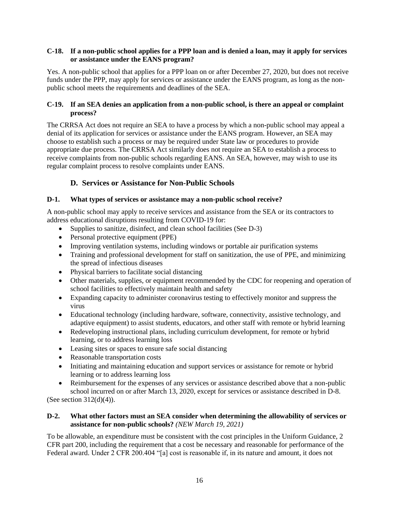#### <span id="page-15-0"></span>**C-18. If a non-public school applies for a PPP loan and is denied a loan, may it apply for services or assistance under the EANS program?**

Yes. A non-public school that applies for a PPP loan on or after December 27, 2020, but does not receive funds under the PPP, may apply for services or assistance under the EANS program, as long as the nonpublic school meets the requirements and deadlines of the SEA.

#### <span id="page-15-1"></span>**C-19. If an SEA denies an application from a non-public school, is there an appeal or complaint process?**

The CRRSA Act does not require an SEA to have a process by which a non-public school may appeal a denial of its application for services or assistance under the EANS program. However, an SEA may choose to establish such a process or may be required under State law or procedures to provide appropriate due process. The CRRSA Act similarly does not require an SEA to establish a process to receive complaints from non-public schools regarding EANS. An SEA, however, may wish to use its regular complaint process to resolve complaints under EANS.

## **D. Services or Assistance for Non-Public Schools**

### <span id="page-15-3"></span><span id="page-15-2"></span>**D-1. What types of services or assistance may a non-public school receive?**

A non-public school may apply to receive services and assistance from the SEA or its contractors to address educational disruptions resulting from COVID-19 for:

- Supplies to sanitize, disinfect, and clean school facilities (See D-3)
- Personal protective equipment (PPE)
- Improving ventilation systems, including windows or portable air purification systems
- Training and professional development for staff on sanitization, the use of PPE, and minimizing the spread of infectious diseases
- Physical barriers to facilitate social distancing
- Other materials, supplies, or equipment recommended by the CDC for reopening and operation of school facilities to effectively maintain health and safety
- Expanding capacity to administer coronavirus testing to effectively monitor and suppress the virus
- Educational technology (including hardware, software, connectivity, assistive technology, and adaptive equipment) to assist students, educators, and other staff with remote or hybrid learning
- Redeveloping instructional plans, including curriculum development, for remote or hybrid learning, or to address learning loss
- Leasing sites or spaces to ensure safe social distancing
- Reasonable transportation costs
- Initiating and maintaining education and support services or assistance for remote or hybrid learning or to address learning loss
- Reimbursement for the expenses of any services or assistance described above that a non-public school incurred on or after March 13, 2020, except for services or assistance described in D-8.

(See section  $312(d)(4)$ ).

#### <span id="page-15-4"></span>**D-2. What other factors must an SEA consider when determining the allowability of services or assistance for non-public schools?** *(NEW March 19, 2021)*

To be allowable, an expenditure must be consistent with the cost principles in the Uniform Guidance, 2 CFR part 200, including the requirement that a cost be necessary and reasonable for performance of the Federal award. Under 2 CFR 200.404 "[a] cost is reasonable if, in its nature and amount, it does not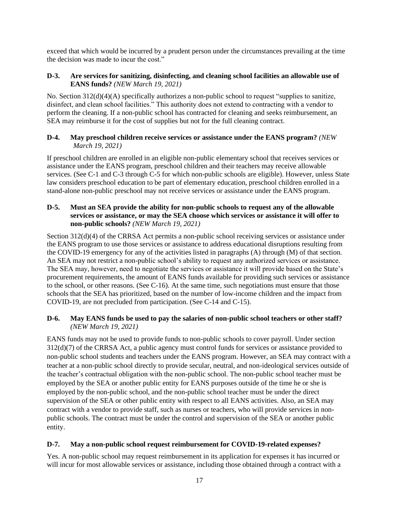exceed that which would be incurred by a prudent person under the circumstances prevailing at the time the decision was made to incur the cost."

#### <span id="page-16-0"></span>**D-3. Are services for sanitizing, disinfecting, and cleaning school facilities an allowable use of EANS funds?** *(NEW March 19, 2021)*

No. Section 312(d)(4)(A) specifically authorizes a non-public school to request "supplies to sanitize, disinfect, and clean school facilities." This authority does not extend to contracting with a vendor to perform the cleaning. If a non-public school has contracted for cleaning and seeks reimbursement, an SEA may reimburse it for the cost of supplies but not for the full cleaning contract.

#### <span id="page-16-1"></span>**D-4. May preschool children receive services or assistance under the EANS program?** *(NEW March 19, 2021)*

If preschool children are enrolled in an eligible non-public elementary school that receives services or assistance under the EANS program, preschool children and their teachers may receive allowable services. (See C-1 and C-3 through C-5 for which non-public schools are eligible). However, unless State law considers preschool education to be part of elementary education, preschool children enrolled in a stand-alone non-public preschool may not receive services or assistance under the EANS program.

#### <span id="page-16-2"></span>**D-5. Must an SEA provide the ability for non-public schools to request any of the allowable services or assistance, or may the SEA choose which services or assistance it will offer to non-public schools?** *(NEW March 19, 2021)*

Section 312(d)(4) of the CRRSA Act permits a non-public school receiving services or assistance under the EANS program to use those services or assistance to address educational disruptions resulting from the COVID-19 emergency for any of the activities listed in paragraphs (A) through (M) of that section. An SEA may not restrict a non-public school's ability to request any authorized services or assistance. The SEA may, however, need to negotiate the services or assistance it will provide based on the State's procurement requirements, the amount of EANS funds available for providing such services or assistance to the school, or other reasons. (See C-16). At the same time, such negotiations must ensure that those schools that the SEA has prioritized, based on the number of low-income children and the impact from COVID-19, are not precluded from participation. (See C-14 and C-15).

#### <span id="page-16-3"></span>**D-6. May EANS funds be used to pay the salaries of non-public school teachers or other staff?** *(NEW March 19, 2021)*

EANS funds may not be used to provide funds to non-public schools to cover payroll. Under section 312(d)(7) of the CRRSA Act, a public agency must control funds for services or assistance provided to non-public school students and teachers under the EANS program. However, an SEA may contract with a teacher at a non-public school directly to provide secular, neutral, and non-ideological services outside of the teacher's contractual obligation with the non-public school. The non-public school teacher must be employed by the SEA or another public entity for EANS purposes outside of the time he or she is employed by the non-public school, and the non-public school teacher must be under the direct supervision of the SEA or other public entity with respect to all EANS activities. Also, an SEA may contract with a vendor to provide staff, such as nurses or teachers, who will provide services in nonpublic schools. The contract must be under the control and supervision of the SEA or another public entity.

#### <span id="page-16-4"></span>**D-7. May a non-public school request reimbursement for COVID-19-related expenses?**

Yes. A non-public school may request reimbursement in its application for expenses it has incurred or will incur for most allowable services or assistance, including those obtained through a contract with a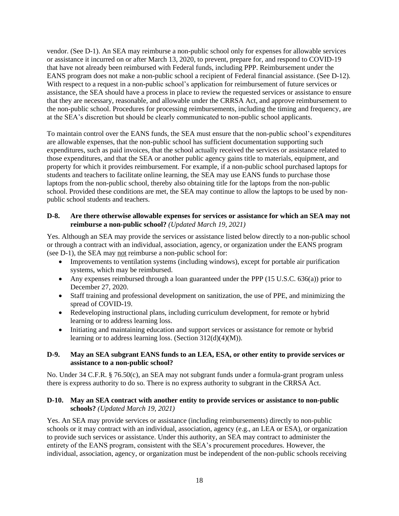vendor. (See [D-1\)](#page-15-3). An SEA may reimburse a non-public school only for expenses for allowable services or assistance it incurred on or after March 13, 2020, to prevent, prepare for, and respond to COVID-19 that have not already been reimbursed with Federal funds, including PPP. Reimbursement under the EANS program does not make a non-public school a recipient of Federal financial assistance. (See D-12). With respect to a request in a non-public school's application for reimbursement of future services or assistance, the SEA should have a process in place to review the requested services or assistance to ensure that they are necessary, reasonable, and allowable under the CRRSA Act, and approve reimbursement to the non-public school. Procedures for processing reimbursements, including the timing and frequency, are at the SEA's discretion but should be clearly communicated to non-public school applicants.

To maintain control over the EANS funds, the SEA must ensure that the non-public school's expenditures are allowable expenses, that the non-public school has sufficient documentation supporting such expenditures, such as paid invoices, that the school actually received the services or assistance related to those expenditures, and that the SEA or another public agency gains title to materials, equipment, and property for which it provides reimbursement. For example, if a non-public school purchased laptops for students and teachers to facilitate online learning, the SEA may use EANS funds to purchase those laptops from the non-public school, thereby also obtaining title for the laptops from the non-public school. Provided these conditions are met, the SEA may continue to allow the laptops to be used by nonpublic school students and teachers.

#### <span id="page-17-0"></span>**D-8. Are there otherwise allowable expenses for services or assistance for which an SEA may not reimburse a non-public school?** *(Updated March 19, 2021)*

Yes. Although an SEA may provide the services or assistance listed below directly to a non-public school or through a contract with an individual, association, agency, or organization under the EANS program (see D-1), the SEA may not reimburse a non-public school for:

- Improvements to ventilation systems (including windows), except for portable air purification systems, which may be reimbursed.
- Any expenses reimbursed through a loan guaranteed under the PPP  $(15 \text{ U.S.C. } 636(a))$  prior to December 27, 2020.
- Staff training and professional development on sanitization, the use of PPE, and minimizing the spread of COVID-19.
- Redeveloping instructional plans, including curriculum development, for remote or hybrid learning or to address learning loss.
- Initiating and maintaining education and support services or assistance for remote or hybrid learning or to address learning loss. (Section 312(d)(4)(M)).

#### <span id="page-17-1"></span>**D-9. May an SEA subgrant EANS funds to an LEA, ESA, or other entity to provide services or assistance to a non-public school?**

No. Under 34 C.F.R. § 76.50(c), an SEA may not subgrant funds under a formula-grant program unless there is express authority to do so. There is no express authority to subgrant in the CRRSA Act.

#### <span id="page-17-2"></span>**D-10. May an SEA contract with another entity to provide services or assistance to non-public schools?** *(Updated March 19, 2021)*

Yes. An SEA may provide services or assistance (including reimbursements) directly to non-public schools or it may contract with an individual, association, agency (e.g., an LEA or ESA), or organization to provide such services or assistance. Under this authority, an SEA may contract to administer the entirety of the EANS program, consistent with the SEA's procurement procedures*.* However, the individual, association, agency, or organization must be independent of the non-public schools receiving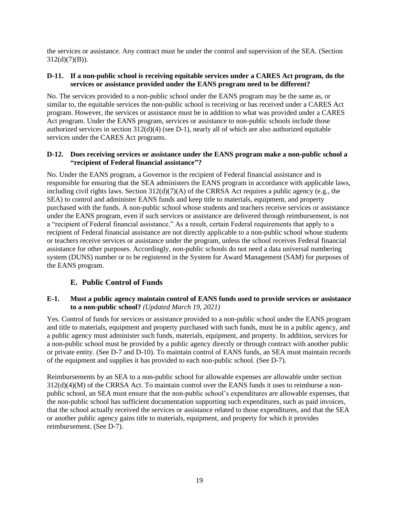the services or assistance. Any contract must be under the control and supervision of the SEA. (Section  $312(d)(7)(B)$ ).

#### <span id="page-18-0"></span>**D-11. If a non-public school is receiving equitable services under a CARES Act program, do the services or assistance provided under the EANS program need to be different?**

No. The services provided to a non-public school under the EANS program may be the same as, or similar to, the equitable services the non-public school is receiving or has received under a CARES Act program. However, the services or assistance must be in addition to what was provided under a CARES Act program. Under the EANS program, services or assistance to non-public schools include those authorized services in section 312(d)(4) (see [D-1\)](#page-15-3), nearly all of which are also authorized equitable services under the CARES Act programs.

#### <span id="page-18-1"></span>**D-12. Does receiving services or assistance under the EANS program make a non-public school a "recipient of Federal financial assistance"?**

No. Under the EANS program, a Governor is the recipient of Federal financial assistance and is responsible for ensuring that the SEA administers the EANS program in accordance with applicable laws, including civil rights laws. Section  $312(d)(7)(A)$  of the CRRSA Act requires a public agency (e.g., the SEA) to control and administer EANS funds and keep title to materials, equipment, and property purchased with the funds. A non-public school whose students and teachers receive services or assistance under the EANS program, even if such services or assistance are delivered through reimbursement, is not a "recipient of Federal financial assistance." As a result, certain Federal requirements that apply to a recipient of Federal financial assistance are not directly applicable to a non-public school whose students or teachers receive services or assistance under the program, unless the school receives Federal financial assistance for other purposes. Accordingly, non-public schools do not need a data universal numbering system (DUNS) number or to be registered in the System for Award Management (SAM) for purposes of the EANS program.

#### **E. Public Control of Funds**

#### <span id="page-18-3"></span><span id="page-18-2"></span>**E-1. Must a public agency maintain control of EANS funds used to provide services or assistance to a non-public school?** *(Updated March 19, 2021)*

Yes. Control of funds for services or assistance provided to a non-public school under the EANS program and title to materials, equipment and property purchased with such funds, must be in a public agency, and a public agency must administer such funds, materials, equipment, and property. In addition, services for a non-public school must be provided by a public agency directly or through contract with another public or private entity. (See D-7 and D-10). To maintain control of EANS funds, an SEA must maintain records of the equipment and supplies it has provided to each non-public school. (See D-7).

Reimbursements by an SEA to a non-public school for allowable expenses are allowable under section 312(d)(4)(M) of the CRRSA Act. To maintain control over the EANS funds it uses to reimburse a nonpublic school, an SEA must ensure that the non-public school's expenditures are allowable expenses, that the non-public school has sufficient documentation supporting such expenditures, such as paid invoices, that the school actually received the services or assistance related to those expenditures, and that the SEA or another public agency gains title to materials, equipment, and property for which it provides reimbursement. (See D-7).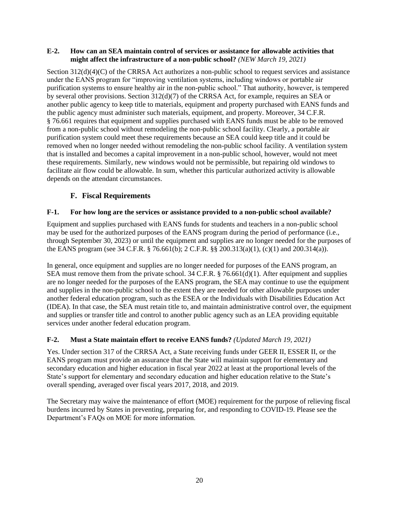#### <span id="page-19-0"></span>**E-2. How can an SEA maintain control of services or assistance for allowable activities that might affect the infrastructure of a non-public school?** *(NEW March 19, 2021)*

Section 312(d)(4)(C) of the CRRSA Act authorizes a non-public school to request services and assistance under the EANS program for "improving ventilation systems, including windows or portable air purification systems to ensure healthy air in the non-public school." That authority, however, is tempered by several other provisions. Section 312(d)(7) of the CRRSA Act, for example, requires an SEA or another public agency to keep title to materials, equipment and property purchased with EANS funds and the public agency must administer such materials, equipment, and property. Moreover, 34 C.F.R. § 76.661 requires that equipment and supplies purchased with EANS funds must be able to be removed from a non-public school without remodeling the non-public school facility. Clearly, a portable air purification system could meet these requirements because an SEA could keep title and it could be removed when no longer needed without remodeling the non-public school facility. A ventilation system that is installed and becomes a capital improvement in a non-public school, however, would not meet these requirements. Similarly, new windows would not be permissible, but repairing old windows to facilitate air flow could be allowable. In sum, whether this particular authorized activity is allowable depends on the attendant circumstances.

## **F. Fiscal Requirements**

#### <span id="page-19-2"></span><span id="page-19-1"></span>**F-1. For how long are the services or assistance provided to a non-public school available?**

Equipment and supplies purchased with EANS funds for students and teachers in a non-public school may be used for the authorized purposes of the EANS program during the period of performance (i.e., through September 30, 2023) or until the equipment and supplies are no longer needed for the purposes of the EANS program (see 34 C.F.R. § 76.661(b); 2 C.F.R. §§ 200.313(a)(1), (c)(1) and 200.314(a)).

In general, once equipment and supplies are no longer needed for purposes of the EANS program, an SEA must remove them from the private school.  $34$  C.F.R. § 76.661(d)(1). After equipment and supplies are no longer needed for the purposes of the EANS program, the SEA may continue to use the equipment and supplies in the non-public school to the extent they are needed for other allowable purposes under another federal education program, such as the ESEA or the Individuals with Disabilities Education Act (IDEA). In that case, the SEA must retain title to, and maintain administrative control over, the equipment and supplies or transfer title and control to another public agency such as an LEA providing equitable services under another federal education program.

#### <span id="page-19-3"></span>**F-2. Must a State maintain effort to receive EANS funds?** *(Updated March 19, 2021)*

Yes. Under section 317 of the CRRSA Act, a State receiving funds under GEER II, ESSER II, or the EANS program must provide an assurance that the State will maintain support for elementary and secondary education and higher education in fiscal year 2022 at least at the proportional levels of the State's support for elementary and secondary education and higher education relative to the State's overall spending, averaged over fiscal years 2017, 2018, and 2019.

The Secretary may waive the maintenance of effort (MOE) requirement for the purpose of relieving fiscal burdens incurred by States in preventing, preparing for, and responding to COVID-19. Please see the Department's FAQs on MOE for more information.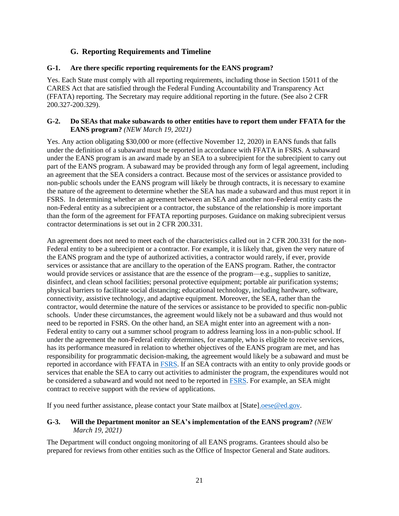## **G. Reporting Requirements and Timeline**

#### <span id="page-20-1"></span><span id="page-20-0"></span>**G-1. Are there specific reporting requirements for the EANS program?**

Yes. Each State must comply with all reporting requirements, including those in Section 15011 of the CARES Act that are satisfied through the Federal Funding Accountability and Transparency Act (FFATA) reporting. The Secretary may require additional reporting in the future. (See also 2 CFR 200.327-200.329).

#### <span id="page-20-2"></span>**G-2. Do SEAs that make subawards to other entities have to report them under FFATA for the EANS program?** *(NEW March 19, 2021)*

Yes. Any action obligating \$30,000 or more (effective November 12, 2020) in EANS funds that falls under the definition of a subaward must be reported in accordance with FFATA in FSRS. A subaward under the EANS program is an award made by an SEA to a subrecipient for the subrecipient to carry out part of the EANS program. A subaward may be provided through any form of legal agreement, including an agreement that the SEA considers a contract. Because most of the services or assistance provided to non-public schools under the EANS program will likely be through contracts, it is necessary to examine the nature of the agreement to determine whether the SEA has made a subaward and thus must report it in FSRS. In determining whether an agreement between an SEA and another non-Federal entity casts the non-Federal entity as a subrecipient or a contractor, the substance of the relationship is more important than the form of the agreement for FFATA reporting purposes. Guidance on making subrecipient versus contractor determinations is set out in 2 CFR 200.331.

An agreement does not need to meet each of the characteristics called out in 2 CFR 200.331 for the non-Federal entity to be a subrecipient or a contractor. For example, it is likely that, given the very nature of the EANS program and the type of authorized activities, a contractor would rarely, if ever, provide services or assistance that are ancillary to the operation of the EANS program. Rather, the contractor would provide services or assistance that are the essence of the program—e.g., supplies to sanitize, disinfect, and clean school facilities; personal protective equipment; portable air purification systems; physical barriers to facilitate social distancing; educational technology, including hardware, software, connectivity, assistive technology, and adaptive equipment. Moreover, the SEA, rather than the contractor, would determine the nature of the services or assistance to be provided to specific non-public schools. Under these circumstances, the agreement would likely not be a subaward and thus would not need to be reported in FSRS. On the other hand, an SEA might enter into an agreement with a non-Federal entity to carry out a summer school program to address learning loss in a non-public school. If under the agreement the non-Federal entity determines, for example, who is eligible to receive services, has its performance measured in relation to whether objectives of the EANS program are met, and has responsibility for programmatic decision-making, the agreement would likely be a subaward and must be reported in accordance with FFATA in [FSRS.](https://www.fsrs.gov/) If an SEA contracts with an entity to only provide goods or services that enable the SEA to carry out activities to administer the program, the expenditures would not be considered a subaward and would not need to be reported in [FSRS.](https://www.fsrs.gov/) For example, an SEA might contract to receive support with the review of applications.

If you need further assistance, please contact your State mailbox at [State[\].oese@ed.gov.](mailto:.oese@ed.gov)

#### <span id="page-20-3"></span>**G-3. Will the Department monitor an SEA's implementation of the EANS program?** *(NEW March 19, 2021)*

The Department will conduct ongoing monitoring of all EANS programs. Grantees should also be prepared for reviews from other entities such as the Office of Inspector General and State auditors.